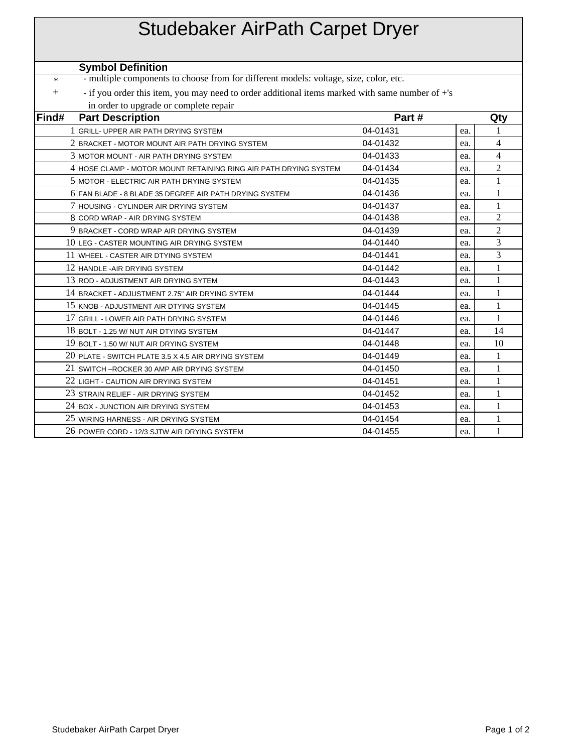| <b>Studebaker AirPath Carpet Dryer</b>                                                          |                                                                                                 |          |     |                |
|-------------------------------------------------------------------------------------------------|-------------------------------------------------------------------------------------------------|----------|-----|----------------|
|                                                                                                 | <b>Symbol Definition</b>                                                                        |          |     |                |
| - multiple components to choose from for different models: voltage, size, color, etc.<br>$\ast$ |                                                                                                 |          |     |                |
| $+$                                                                                             | - if you order this item, you may need to order additional items marked with same number of +'s |          |     |                |
|                                                                                                 | in order to upgrade or complete repair                                                          |          |     |                |
| Find#                                                                                           | <b>Part Description</b>                                                                         | Part#    |     | Qty            |
|                                                                                                 | 1 GRILL- UPPER AIR PATH DRYING SYSTEM                                                           | 04-01431 | ea. | 1              |
|                                                                                                 | $2$ IBRACKET - MOTOR MOUNT AIR PATH DRYING SYSTEM $\,$                                          | 04-01432 | ea. | 4              |
|                                                                                                 | 3 MOTOR MOUNT - AIR PATH DRYING SYSTEM                                                          | 04-01433 | ea. | 4              |
|                                                                                                 | 4 HOSE CLAMP - MOTOR MOUNT RETAINING RING AIR PATH DRYING SYSTEM                                | 04-01434 | ea. | $\overline{c}$ |
|                                                                                                 | 5 MOTOR - ELECTRIC AIR PATH DRYING SYSTEM                                                       | 04-01435 | ea. | 1              |
|                                                                                                 | 6 FAN BLADE - 8 BLADE 35 DEGREE AIR PATH DRYING SYSTEM                                          | 04-01436 | ea. | 1              |
|                                                                                                 | 7 HOUSING - CYLINDER AIR DRYING SYSTEM                                                          | 04-01437 | ea. | 1              |
|                                                                                                 | 8 CORD WRAP - AIR DRYING SYSTEM                                                                 | 04-01438 | ea. | $\overline{c}$ |
|                                                                                                 | 9 BRACKET - CORD WRAP AIR DRYING SYSTEM                                                         | 04-01439 | ea. | $\overline{2}$ |
|                                                                                                 | $10$ LEG - CASTER MOUNTING AIR DRYING SYSTEM                                                    | 04-01440 | ea. | 3              |
|                                                                                                 | 11 WHEEL - CASTER AIR DTYING SYSTEM                                                             | 04-01441 | ea. | 3              |
|                                                                                                 | 12 HANDLE-AIR DRYING SYSTEM                                                                     | 04-01442 | ea. | 1              |
|                                                                                                 | 13 ROD - ADJUSTMENT AIR DRYING SYTEM                                                            | 04-01443 | ea. | 1              |
|                                                                                                 | 14 BRACKET - ADJUSTMENT 2.75" AIR DRYING SYTEM                                                  | 04-01444 | ea. | 1              |
|                                                                                                 | 15 KNOB - ADJUSTMENT AIR DTYING SYSTEM                                                          | 04-01445 | ea. | 1              |
|                                                                                                 | 17 GRILL - LOWER AIR PATH DRYING SYSTEM                                                         | 04-01446 | ea. | 1              |
|                                                                                                 | 18 BOLT - 1.25 W/ NUT AIR DTYING SYSTEM                                                         | 04-01447 | ea. | 14             |
|                                                                                                 | 19 BOLT - 1.50 W/ NUT AIR DRYING SYSTEM                                                         | 04-01448 | ea. | 10             |
|                                                                                                 | 20 PLATE - SWITCH PLATE 3.5 X 4.5 AIR DRYING SYSTEM                                             | 04-01449 | ea. | 1              |
|                                                                                                 | 21 SWITCH – ROCKER 30 AMP AIR DRYING SYSTEM                                                     | 04-01450 | ea. | 1              |
|                                                                                                 | 22 LIGHT - CAUTION AIR DRYING SYSTEM                                                            | 04-01451 | ea. | 1              |
|                                                                                                 | 23 STRAIN RELIEF - AIR DRYING SYSTEM                                                            | 04-01452 | ea. | 1              |
|                                                                                                 | 24 BOX - JUNCTION AIR DRYING SYSTEM                                                             | 04-01453 | ea. | 1              |
|                                                                                                 | 25 WIRING HARNESS - AIR DRYING SYSTEM                                                           | 04-01454 | ea. | 1              |
|                                                                                                 | 26 POWER CORD - 12/3 SJTW AIR DRYING SYSTEM                                                     | 04-01455 | ea. | 1              |